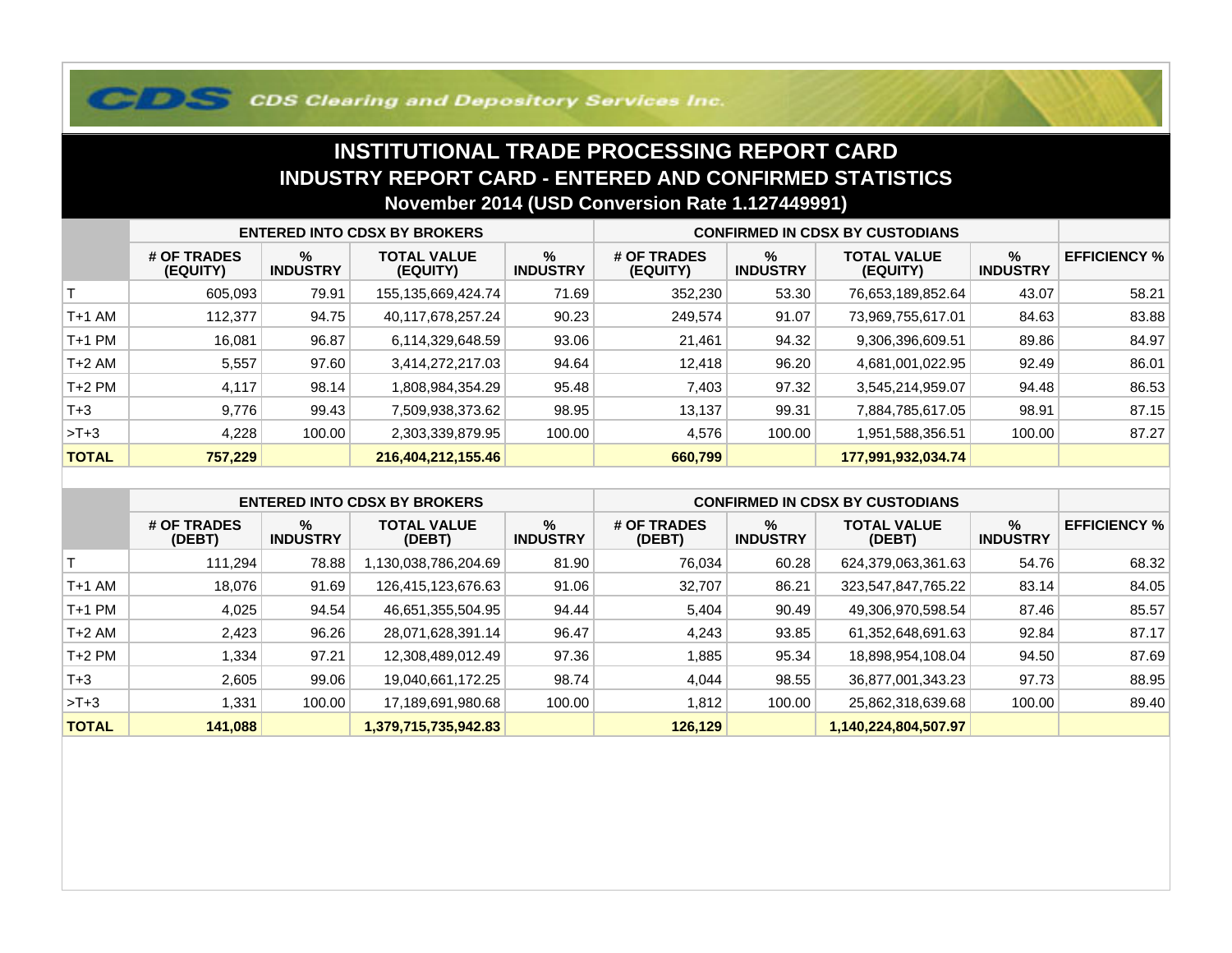## **COS Clearing and Depository Services Inc.**

## **INSTITUTIONAL TRADE PROCESSING REPORT CARD INDUSTRY REPORT CARD - ENTERED AND CONFIRMED STATISTICSNovember 2014 (USD Conversion Rate 1.127449991)**

|              | <b>ENTERED INTO CDSX BY BROKERS</b> |                         |                                |                      | <b>CONFIRMED IN CDSX BY CUSTODIANS</b> |                         |                                |                      |                     |
|--------------|-------------------------------------|-------------------------|--------------------------------|----------------------|----------------------------------------|-------------------------|--------------------------------|----------------------|---------------------|
|              | # OF TRADES<br>(EQUITY)             | $\%$<br><b>INDUSTRY</b> | <b>TOTAL VALUE</b><br>(EQUITY) | %<br><b>INDUSTRY</b> | # OF TRADES<br>(EQUITY)                | $\%$<br><b>INDUSTRY</b> | <b>TOTAL VALUE</b><br>(EQUITY) | %<br><b>INDUSTRY</b> | <b>EFFICIENCY %</b> |
|              | 605,093                             | 79.91                   | 155,135,669,424.74             | 71.69                | 352,230                                | 53.30                   | 76,653,189,852.64              | 43.07                | 58.21               |
| T+1 AM       | 112,377                             | 94.75                   | 40,117,678,257.24              | 90.23                | 249.574                                | 91.07                   | 73,969,755,617.01              | 84.63                | 83.88               |
| T+1 PM       | 16,081                              | 96.87                   | 6,114,329,648.59               | 93.06                | 21,461                                 | 94.32                   | 9,306,396,609.51               | 89.86                | 84.97               |
| T+2 AM       | 5,557                               | 97.60                   | 3,414,272,217.03               | 94.64                | 12,418                                 | 96.20                   | 4,681,001,022.95               | 92.49                | 86.01               |
| $T+2$ PM     | 4,117                               | 98.14                   | 1,808,984,354.29               | 95.48                | 7,403                                  | 97.32                   | 3,545,214,959.07               | 94.48                | 86.53               |
| $T + 3$      | 9,776                               | 99.43                   | 7,509,938,373.62               | 98.95                | 13,137                                 | 99.31                   | 7,884,785,617.05               | 98.91                | 87.15               |
| $>T+3$       | 4,228                               | 100.00                  | 2,303,339,879.95               | 100.00               | 4,576                                  | 100.00                  | 1,951,588,356.51               | 100.00               | 87.27               |
| <b>TOTAL</b> | 757,229                             |                         | 216,404,212,155.46             |                      | 660,799                                |                         | 177,991,932,034.74             |                      |                     |

|              | <b>ENTERED INTO CDSX BY BROKERS</b> |                         |                              |                         | <b>CONFIRMED IN CDSX BY CUSTODIANS</b> |                         |                              |                         |                     |
|--------------|-------------------------------------|-------------------------|------------------------------|-------------------------|----------------------------------------|-------------------------|------------------------------|-------------------------|---------------------|
|              | # OF TRADES<br>(DEBT)               | $\%$<br><b>INDUSTRY</b> | <b>TOTAL VALUE</b><br>(DEBT) | $\%$<br><b>INDUSTRY</b> | # OF TRADES<br>(DEBT)                  | $\%$<br><b>INDUSTRY</b> | <b>TOTAL VALUE</b><br>(DEBT) | $\%$<br><b>INDUSTRY</b> | <b>EFFICIENCY %</b> |
|              | 111.294                             | 78.88                   | 1,130,038,786,204.69         | 81.90                   | 76,034                                 | 60.28                   | 624,379,063,361.63           | 54.76                   | 68.32               |
| $T+1$ AM     | 18.076                              | 91.69                   | 126,415,123,676.63           | 91.06                   | 32,707                                 | 86.21                   | 323,547,847,765.22           | 83.14                   | 84.05               |
| $T+1$ PM     | 4,025                               | 94.54                   | 46,651,355,504.95            | 94.44                   | 5,404                                  | 90.49                   | 49,306,970,598.54            | 87.46                   | 85.57               |
| $T+2$ AM     | 2,423                               | 96.26                   | 28,071,628,391.14            | 96.47                   | 4,243                                  | 93.85                   | 61,352,648,691.63            | 92.84                   | 87.17               |
| $T+2$ PM     | 1,334                               | 97.21                   | 12,308,489,012.49            | 97.36                   | .885                                   | 95.34                   | 18,898,954,108.04            | 94.50                   | 87.69               |
| $T + 3$      | 2,605                               | 99.06                   | 19,040,661,172.25            | 98.74                   | 4.044                                  | 98.55                   | 36,877,001,343.23            | 97.73                   | 88.95               |
| $>T+3$       | 1,331                               | 100.00                  | 17,189,691,980.68            | 100.00                  | 1,812                                  | 100.00                  | 25,862,318,639.68            | 100.00                  | 89.40               |
| <b>TOTAL</b> | 141,088                             |                         | 1,379,715,735,942.83         |                         | 126,129                                |                         | 1,140,224,804,507.97         |                         |                     |